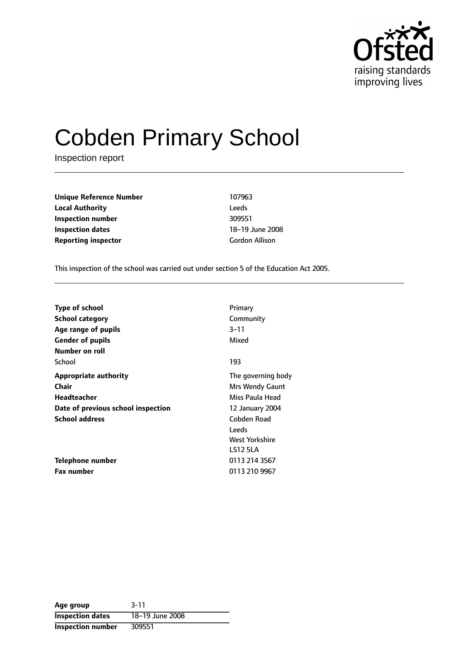

# Cobden Primary School

Inspection report

**Unique Reference Number** 107963 **Local Authority** Leeds **Inspection number** 309551 **Inspection dates** 18-19 June 2008 **Reporting inspector** Gordon Allison

This inspection of the school was carried out under section 5 of the Education Act 2005.

| <b>Type of school</b>              | Primary            |
|------------------------------------|--------------------|
| School category                    | Community          |
| Age range of pupils                | $3 - 11$           |
| <b>Gender of pupils</b>            | Mixed              |
| Number on roll                     |                    |
| School                             | 193                |
| <b>Appropriate authority</b>       | The governing body |
| Chair                              | Mrs Wendy Gaunt    |
| Headteacher                        | Miss Paula Head    |
| Date of previous school inspection | 12 January 2004    |
| <b>School address</b>              | Cobden Road        |
|                                    | Leeds              |
|                                    | West Yorkshire     |
|                                    | <b>LS12 5LA</b>    |
| Telephone number                   | 0113 214 3567      |
| <b>Fax number</b>                  | 0113 210 9967      |

| Age group                | $3 - 11$        |
|--------------------------|-----------------|
| <b>Inspection dates</b>  | 18-19 June 2008 |
| <b>Inspection number</b> | 309551          |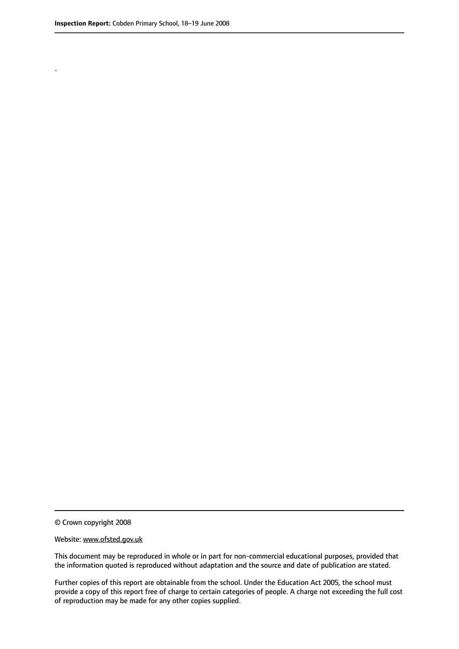.

© Crown copyright 2008

#### Website: www.ofsted.gov.uk

This document may be reproduced in whole or in part for non-commercial educational purposes, provided that the information quoted is reproduced without adaptation and the source and date of publication are stated.

Further copies of this report are obtainable from the school. Under the Education Act 2005, the school must provide a copy of this report free of charge to certain categories of people. A charge not exceeding the full cost of reproduction may be made for any other copies supplied.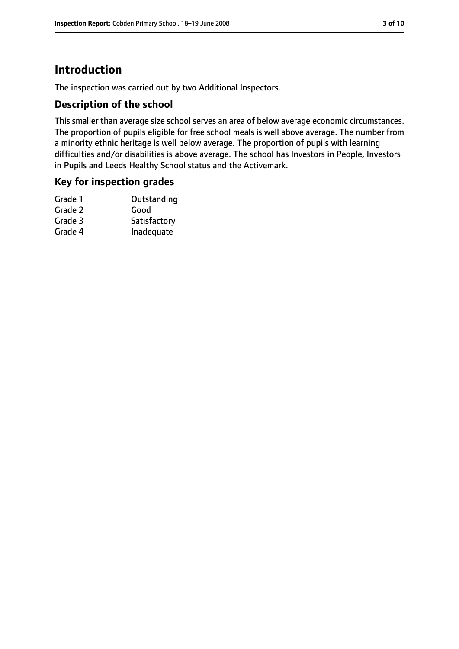## **Introduction**

The inspection was carried out by two Additional Inspectors.

#### **Description of the school**

This smaller than average size school serves an area of below average economic circumstances. The proportion of pupils eligible for free school meals is well above average. The number from a minority ethnic heritage is well below average. The proportion of pupils with learning difficulties and/or disabilities is above average. The school has Investors in People, Investors in Pupils and Leeds Healthy School status and the Activemark.

#### **Key for inspection grades**

| Grade 1 | Outstanding  |
|---------|--------------|
| Grade 2 | Good         |
| Grade 3 | Satisfactory |
| Grade 4 | Inadequate   |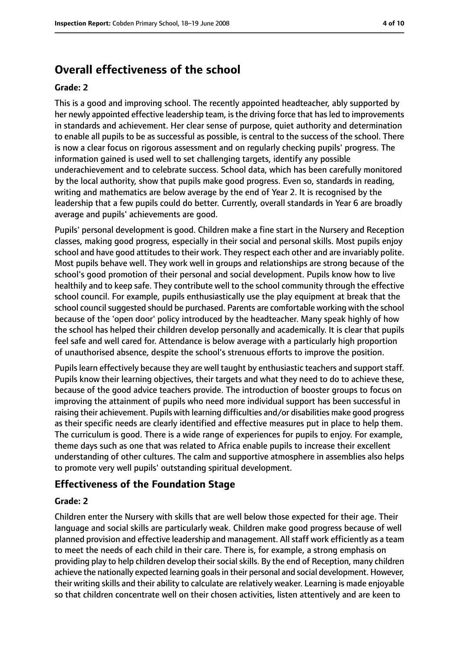## **Overall effectiveness of the school**

#### **Grade: 2**

This is a good and improving school. The recently appointed headteacher, ably supported by her newly appointed effective leadership team, is the driving force that has led to improvements in standards and achievement. Her clear sense of purpose, quiet authority and determination to enable all pupils to be as successful as possible, is central to the success of the school. There is now a clear focus on rigorous assessment and on regularly checking pupils' progress. The information gained is used well to set challenging targets, identify any possible underachievement and to celebrate success. School data, which has been carefully monitored by the local authority, show that pupils make good progress. Even so, standards in reading, writing and mathematics are below average by the end of Year 2. It is recognised by the leadership that a few pupils could do better. Currently, overall standards in Year 6 are broadly average and pupils' achievements are good.

Pupils' personal development is good. Children make a fine start in the Nursery and Reception classes, making good progress, especially in their social and personal skills. Most pupils enjoy school and have good attitudes to their work. They respect each other and are invariably polite. Most pupils behave well. They work well in groups and relationships are strong because of the school's good promotion of their personal and social development. Pupils know how to live healthily and to keep safe. They contribute well to the school community through the effective school council. For example, pupils enthusiastically use the play equipment at break that the school council suggested should be purchased. Parents are comfortable working with the school because of the 'open door' policy introduced by the headteacher. Many speak highly of how the school has helped their children develop personally and academically. It is clear that pupils feel safe and well cared for. Attendance is below average with a particularly high proportion of unauthorised absence, despite the school's strenuous efforts to improve the position.

Pupils learn effectively because they are well taught by enthusiastic teachers and support staff. Pupils know their learning objectives, their targets and what they need to do to achieve these, because of the good advice teachers provide. The introduction of booster groups to focus on improving the attainment of pupils who need more individual support has been successful in raising their achievement. Pupils with learning difficulties and/or disabilities make good progress as their specific needs are clearly identified and effective measures put in place to help them. The curriculum is good. There is a wide range of experiences for pupils to enjoy. For example, theme days such as one that was related to Africa enable pupils to increase their excellent understanding of other cultures. The calm and supportive atmosphere in assemblies also helps to promote very well pupils' outstanding spiritual development.

#### **Effectiveness of the Foundation Stage**

#### **Grade: 2**

Children enter the Nursery with skills that are well below those expected for their age. Their language and social skills are particularly weak. Children make good progress because of well planned provision and effective leadership and management. All staff work efficiently as a team to meet the needs of each child in their care. There is, for example, a strong emphasis on providing play to help children develop theirsocialskills. By the end of Reception, many children achieve the nationally expected learning goals in their personal and social development. However, their writing skills and their ability to calculate are relatively weaker. Learning is made enjoyable so that children concentrate well on their chosen activities, listen attentively and are keen to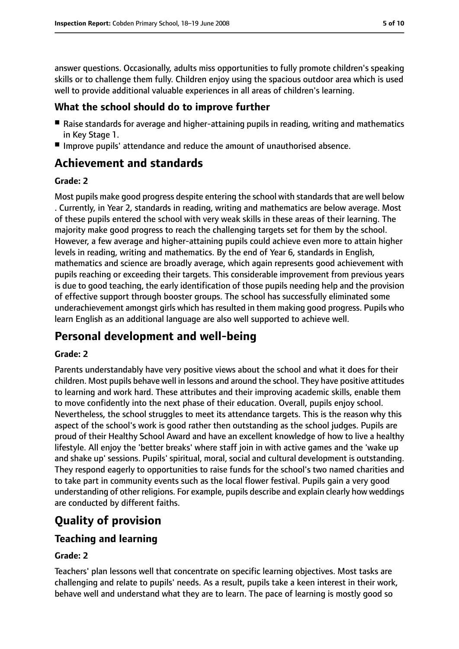answer questions. Occasionally, adults miss opportunities to fully promote children's speaking skills or to challenge them fully. Children enjoy using the spacious outdoor area which is used well to provide additional valuable experiences in all areas of children's learning.

#### **What the school should do to improve further**

- Raise standards for average and higher-attaining pupils in reading, writing and mathematics in Key Stage 1.
- Improve pupils' attendance and reduce the amount of unauthorised absence.

## **Achievement and standards**

#### **Grade: 2**

Most pupils make good progress despite entering the school with standards that are well below . Currently, in Year 2, standards in reading, writing and mathematics are below average. Most of these pupils entered the school with very weak skills in these areas of their learning. The majority make good progress to reach the challenging targets set for them by the school. However, a few average and higher-attaining pupils could achieve even more to attain higher levels in reading, writing and mathematics. By the end of Year 6, standards in English, mathematics and science are broadly average, which again represents good achievement with pupils reaching or exceeding their targets. This considerable improvement from previous years is due to good teaching, the early identification of those pupils needing help and the provision of effective support through booster groups. The school has successfully eliminated some underachievement amongst girls which has resulted in them making good progress. Pupils who learn English as an additional language are also well supported to achieve well.

## **Personal development and well-being**

#### **Grade: 2**

Parents understandably have very positive views about the school and what it does for their children. Most pupils behave well in lessons and around the school. They have positive attitudes to learning and work hard. These attributes and their improving academic skills, enable them to move confidently into the next phase of their education. Overall, pupils enjoy school. Nevertheless, the school struggles to meet its attendance targets. This is the reason why this aspect of the school's work is good rather then outstanding as the school judges. Pupils are proud of their Healthy School Award and have an excellent knowledge of how to live a healthy lifestyle. All enjoy the 'better breaks' where staff join in with active games and the 'wake up and shake up' sessions. Pupils' spiritual, moral, social and cultural development is outstanding. They respond eagerly to opportunities to raise funds for the school's two named charities and to take part in community events such as the local flower festival. Pupils gain a very good understanding of other religions. For example, pupils describe and explain clearly how weddings are conducted by different faiths.

## **Quality of provision**

#### **Teaching and learning**

#### **Grade: 2**

Teachers' plan lessons well that concentrate on specific learning objectives. Most tasks are challenging and relate to pupils' needs. As a result, pupils take a keen interest in their work, behave well and understand what they are to learn. The pace of learning is mostly good so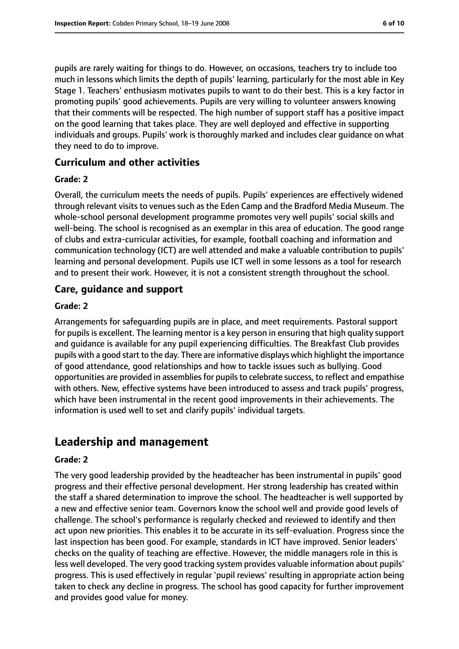pupils are rarely waiting for things to do. However, on occasions, teachers try to include too much in lessons which limits the depth of pupils' learning, particularly for the most able in Key Stage 1. Teachers' enthusiasm motivates pupils to want to do their best. This is a key factor in promoting pupils' good achievements. Pupils are very willing to volunteer answers knowing that their comments will be respected. The high number of support staff has a positive impact on the good learning that takes place. They are well deployed and effective in supporting individuals and groups. Pupils' work is thoroughly marked and includes clear guidance on what they need to do to improve.

#### **Curriculum and other activities**

#### **Grade: 2**

Overall, the curriculum meets the needs of pupils. Pupils' experiences are effectively widened through relevant visits to venues such as the Eden Camp and the Bradford Media Museum. The whole-school personal development programme promotes very well pupils' social skills and well-being. The school is recognised as an exemplar in this area of education. The good range of clubs and extra-curricular activities, for example, football coaching and information and communication technology (ICT) are well attended and make a valuable contribution to pupils' learning and personal development. Pupils use ICT well in some lessons as a tool for research and to present their work. However, it is not a consistent strength throughout the school.

#### **Care, guidance and support**

#### **Grade: 2**

Arrangements for safeguarding pupils are in place, and meet requirements. Pastoral support for pupils is excellent. The learning mentor is a key person in ensuring that high quality support and guidance is available for any pupil experiencing difficulties. The Breakfast Club provides pupils with a good start to the day. There are informative displays which highlight the importance of good attendance, good relationships and how to tackle issues such as bullying. Good opportunities are provided in assemblies for pupils to celebrate success, to reflect and empathise with others. New, effective systems have been introduced to assess and track pupils' progress, which have been instrumental in the recent good improvements in their achievements. The information is used well to set and clarify pupils' individual targets.

## **Leadership and management**

#### **Grade: 2**

The very good leadership provided by the headteacher has been instrumental in pupils' good progress and their effective personal development. Her strong leadership has created within the staff a shared determination to improve the school. The headteacher is well supported by a new and effective senior team. Governors know the school well and provide good levels of challenge. The school's performance is regularly checked and reviewed to identify and then act upon new priorities. This enables it to be accurate in its self-evaluation. Progress since the last inspection has been good. For example, standards in ICT have improved. Senior leaders' checks on the quality of teaching are effective. However, the middle managers role in this is less well developed. The very good tracking system provides valuable information about pupils' progress. This is used effectively in regular 'pupil reviews' resulting in appropriate action being taken to check any decline in progress. The school has good capacity for further improvement and provides good value for money.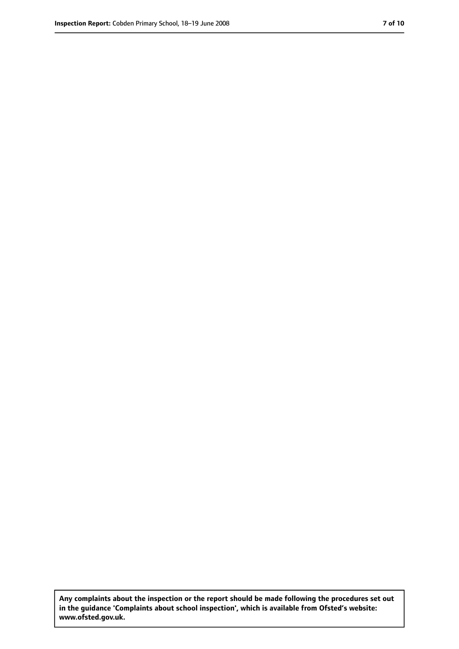**Any complaints about the inspection or the report should be made following the procedures set out in the guidance 'Complaints about school inspection', which is available from Ofsted's website: www.ofsted.gov.uk.**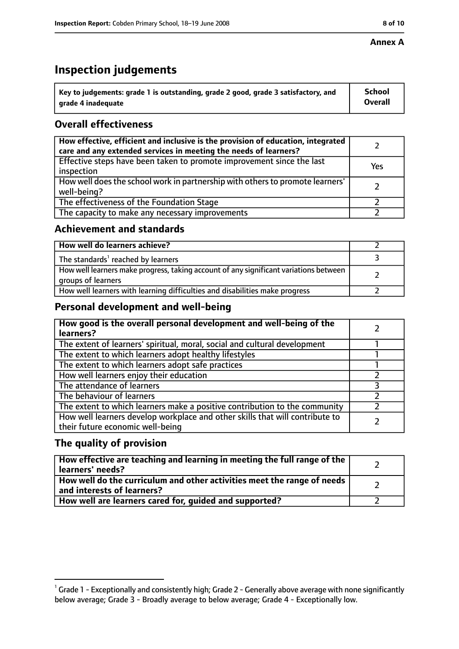#### **Annex A**

## **Inspection judgements**

| $\lq$ Key to judgements: grade 1 is outstanding, grade 2 good, grade 3 satisfactory, and | <b>School</b>  |
|------------------------------------------------------------------------------------------|----------------|
| arade 4 inadequate                                                                       | <b>Overall</b> |

#### **Overall effectiveness**

| How effective, efficient and inclusive is the provision of education, integrated<br>care and any extended services in meeting the needs of learners? |     |
|------------------------------------------------------------------------------------------------------------------------------------------------------|-----|
| Effective steps have been taken to promote improvement since the last<br>inspection                                                                  | Yes |
| How well does the school work in partnership with others to promote learners'<br>well-being?                                                         |     |
| The effectiveness of the Foundation Stage                                                                                                            |     |
| The capacity to make any necessary improvements                                                                                                      |     |

#### **Achievement and standards**

| How well do learners achieve?                                                                               |  |
|-------------------------------------------------------------------------------------------------------------|--|
| The standards <sup>1</sup> reached by learners                                                              |  |
| How well learners make progress, taking account of any significant variations between<br>groups of learners |  |
| How well learners with learning difficulties and disabilities make progress                                 |  |

#### **Personal development and well-being**

| How good is the overall personal development and well-being of the<br>learners?                                  |  |
|------------------------------------------------------------------------------------------------------------------|--|
| The extent of learners' spiritual, moral, social and cultural development                                        |  |
| The extent to which learners adopt healthy lifestyles                                                            |  |
| The extent to which learners adopt safe practices                                                                |  |
| How well learners enjoy their education                                                                          |  |
| The attendance of learners                                                                                       |  |
| The behaviour of learners                                                                                        |  |
| The extent to which learners make a positive contribution to the community                                       |  |
| How well learners develop workplace and other skills that will contribute to<br>their future economic well-being |  |

#### **The quality of provision**

| How effective are teaching and learning in meeting the full range of the<br>learners' needs?          |  |
|-------------------------------------------------------------------------------------------------------|--|
| How well do the curriculum and other activities meet the range of needs<br>and interests of learners? |  |
| How well are learners cared for, quided and supported?                                                |  |

 $^1$  Grade 1 - Exceptionally and consistently high; Grade 2 - Generally above average with none significantly below average; Grade 3 - Broadly average to below average; Grade 4 - Exceptionally low.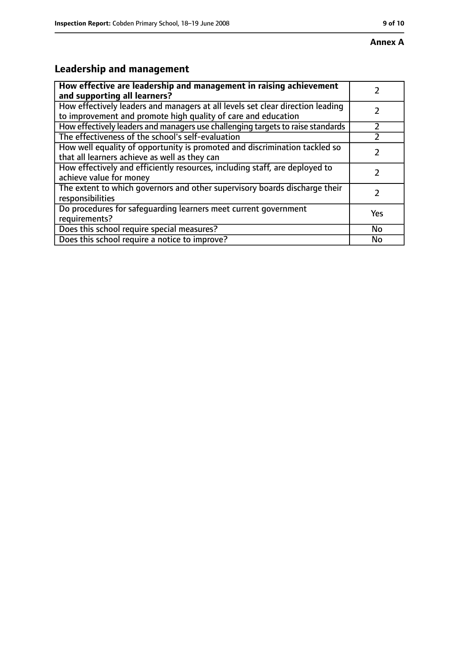## **Leadership and management**

| How effective are leadership and management in raising achievement<br>and supporting all learners?                                              |     |
|-------------------------------------------------------------------------------------------------------------------------------------------------|-----|
| How effectively leaders and managers at all levels set clear direction leading<br>to improvement and promote high quality of care and education |     |
| How effectively leaders and managers use challenging targets to raise standards                                                                 |     |
| The effectiveness of the school's self-evaluation                                                                                               |     |
| How well equality of opportunity is promoted and discrimination tackled so<br>that all learners achieve as well as they can                     |     |
| How effectively and efficiently resources, including staff, are deployed to<br>achieve value for money                                          | フ   |
| The extent to which governors and other supervisory boards discharge their<br>responsibilities                                                  |     |
| Do procedures for safequarding learners meet current government<br>requirements?                                                                | Yes |
| Does this school require special measures?                                                                                                      | No  |
| Does this school require a notice to improve?                                                                                                   | No  |